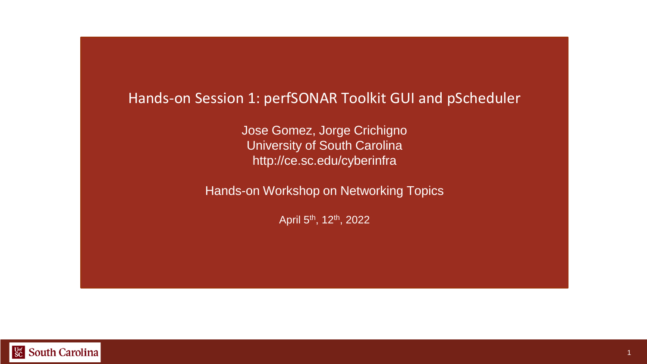#### Hands-on Session 1: perfSONAR Toolkit GUI and pScheduler

Jose Gomez, Jorge Crichigno University of South Carolina http://ce.sc.edu/cyberinfra

Hands-on Workshop on Networking Topics

April 5th, 12th, 2022

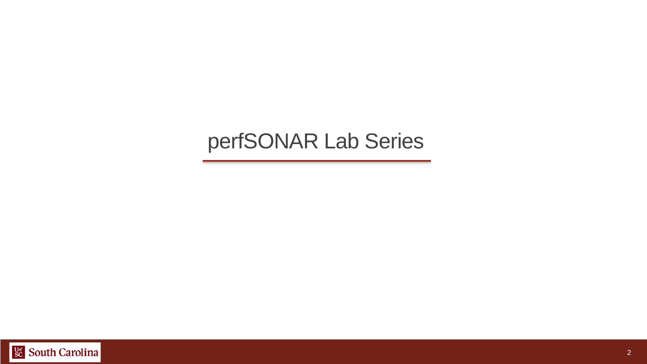#### perfSONAR Lab Series

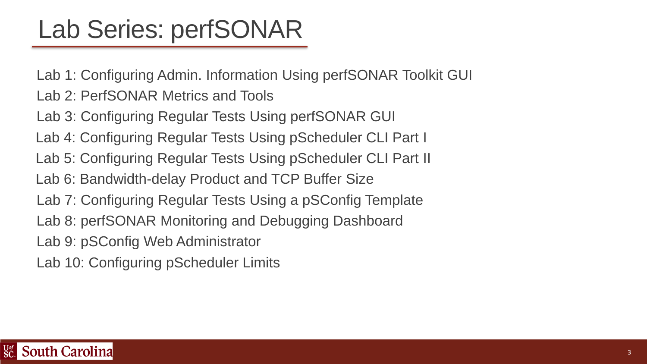# Lab Series: perfSONAR

Lab 1: Configuring Admin. Information Using perfSONAR Toolkit GUI Lab 2: PerfSONAR Metrics and Tools Lab 3: Configuring Regular Tests Using perfSONAR GUI Lab 4: Configuring Regular Tests Using pScheduler CLI Part I Lab 5: Configuring Regular Tests Using pScheduler CLI Part II Lab 6: Bandwidth-delay Product and TCP Buffer Size Lab 7: Configuring Regular Tests Using a pSConfig Template Lab 8: perfSONAR Monitoring and Debugging Dashboard Lab 9: pSConfig Web Administrator

Lab 10: Configuring pScheduler Limits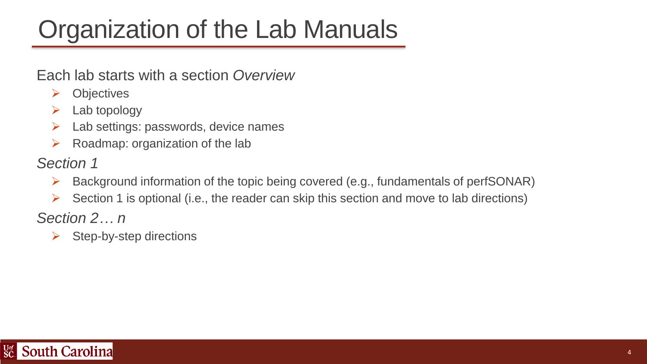# Organization of the Lab Manuals

#### Each lab starts with a section *Overview*

- ➢ Objectives
- $\triangleright$  Lab topology
- $\triangleright$  Lab settings: passwords, device names
- $\triangleright$  Roadmap: organization of the lab

#### *Section 1*

- ➢ Background information of the topic being covered (e.g., fundamentals of perfSONAR)
- $\triangleright$  Section 1 is optional (i.e., the reader can skip this section and move to lab directions)

*Section 2… n*

 $\triangleright$  Step-by-step directions

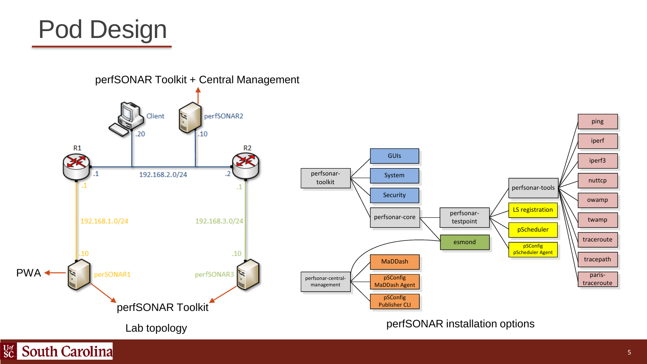

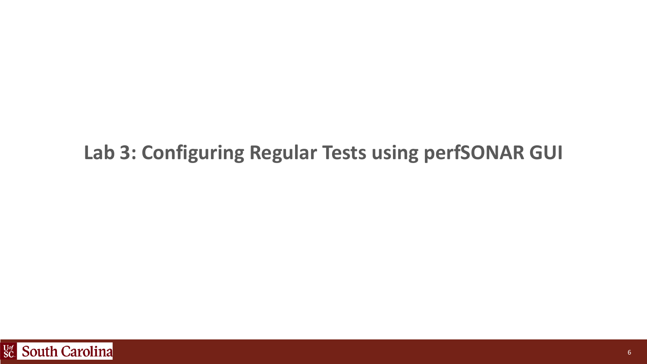#### **Lab 3: Configuring Regular Tests using perfSONAR GUI**

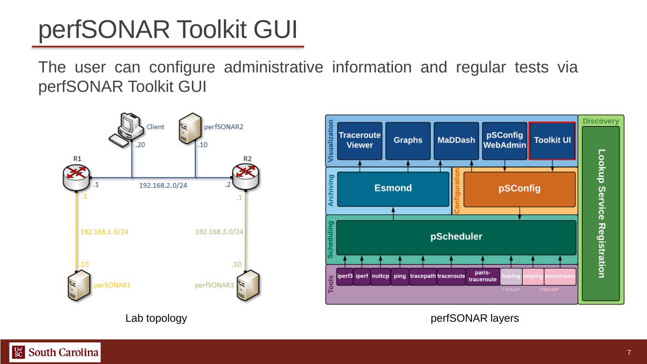# perfSONAR Toolkit GUI

The user can configure administrative information and regular tests via perfSONAR Toolkit GUI

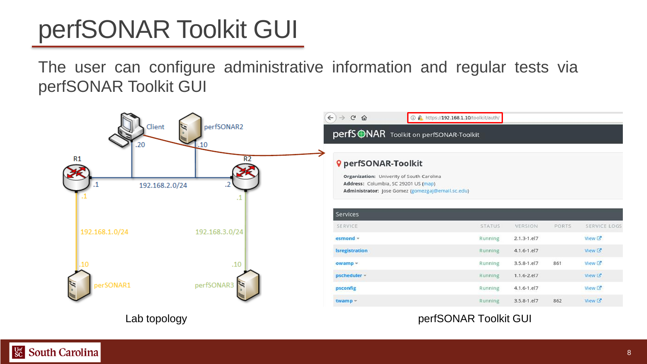# perfSONAR Toolkit GUI

The user can configure administrative information and regular tests via perfSONAR Toolkit GUI



Lab topology extensive perfSONAR Toolkit GUI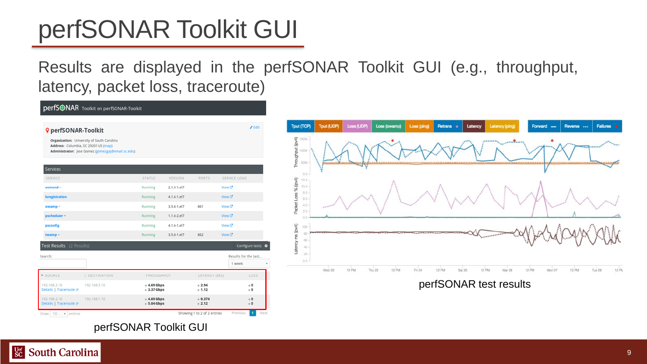# perfSONAR Toolkit GUI

#### Results are displayed in the perfSONAR Toolkit GUI (e.g., throughput, latency, packet loss, traceroute)

|                                                                                                                                                                       |                                 |                               |                              |                     |                      | $E$ dit                   |
|-----------------------------------------------------------------------------------------------------------------------------------------------------------------------|---------------------------------|-------------------------------|------------------------------|---------------------|----------------------|---------------------------|
| <b>Q</b> perfSONAR-Toolkit<br>Organization: University of South Carolina<br>Address: Columbia, SC 29201 US (map)<br>Administrator: Jose Gomez (gomezga)@email.sc.edu) |                                 |                               |                              |                     |                      |                           |
| Services                                                                                                                                                              |                                 |                               |                              |                     |                      |                           |
| SERVICE                                                                                                                                                               |                                 | <b>STATUS</b>                 | VERSION                      | PORTS               | SERVICE LOGS         |                           |
| $esmond -$                                                                                                                                                            |                                 | Running                       | $2.1.3 - 1. e17$             |                     | View <sub>C</sub>    |                           |
| <b>Isregistration</b>                                                                                                                                                 |                                 | Running                       | $4.1.6 - 1. e17$             |                     | NewC                 |                           |
| owamp -                                                                                                                                                               |                                 | Running                       | $3.5.8 - 1. e17$             | 861                 | View <sup>[2</sup> ] |                           |
| pscheduler -                                                                                                                                                          |                                 | Running                       | $1.1.6 - 2.17$               |                     | $New \mathbb{Z}$     |                           |
| psconfig                                                                                                                                                              |                                 | Running                       | $4.1.6 - 1. e17$             |                     | $View \times$        |                           |
| twamp -                                                                                                                                                               |                                 | Running                       | $3.5.8 - 1. e17$             | 862                 | View <sub>12</sub>   |                           |
| Test Results (2 Results)                                                                                                                                              |                                 |                               |                              |                     |                      | Configure tests $\bullet$ |
| Search:                                                                                                                                                               |                                 |                               |                              |                     | 1 week               | Results for the last      |
| <b>4 SOURCE</b>                                                                                                                                                       | <b><i>&amp; DESTINATION</i></b> | THROUGHPUT                    |                              | LATENCY (MS)        |                      | LOSS                      |
| 192.168.2.10<br>Details   Traceroute or                                                                                                                               | 192.168.3.10                    |                               | $+4.69$ Gbps<br>$+3.37$ Gbps |                     | $+2.94$<br>6.1.12    |                           |
| 192.168.2.10<br>Details   Traceroute of                                                                                                                               | 192.168.1.10                    | $+4.69$ Gbps<br>$+ 5.04$ Gbps |                              | $+0.374$<br>$-2.12$ |                      | $\div 0$<br>$+0$          |

#### perfSONAR Toolkit GUI



DerfS**ONAR** Toolkit on perfSONAR-Toolkit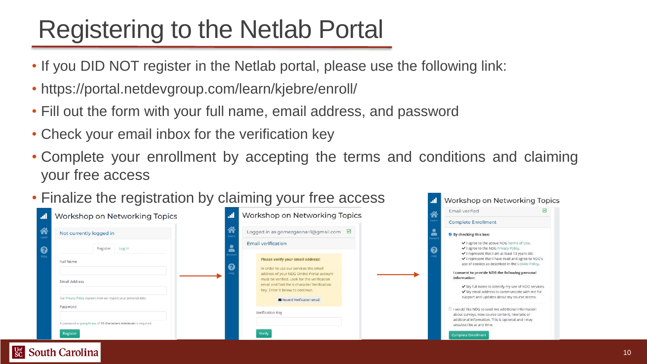## Registering to the Netlab Portal

- If you DID NOT register in the Netlab portal, please use the following link:
- https://portal.netdevgroup.com/learn/kjebre/enroll/
- Fill out the form with your full name, email address, and password
- Check your email inbox for the verification key
- Complete your enrollment by accepting the terms and conditions and claiming your free access
- Finalize the registration by claiming your free access

|           | Workshop on Networking Topics                                              | Workshop on Networking Topics<br>al.                                                     | Email verified                                                                                                                                                    |
|-----------|----------------------------------------------------------------------------|------------------------------------------------------------------------------------------|-------------------------------------------------------------------------------------------------------------------------------------------------------------------|
|           |                                                                            |                                                                                          | <b>Complete Enrollment</b>                                                                                                                                        |
| 谷         | Not currently logged in                                                    | Logged in as gomezgaona+1@gmail.com $\boxtimes$                                          | By checking this box:                                                                                                                                             |
| $\bullet$ | Register Log In                                                            | <b>Email verification</b>                                                                | ✔ I agree to the above NDG Terms of Use.<br>V I agree to the NDG Privacy Policy.<br>െ<br>√ I represent that I am at least 13 years old.                           |
|           | <b>Full Name</b>                                                           | Please verify your email address!<br>In order to use our services the email              | √ I represent that I have read and agree to NDG's<br>use of cookies as described in the Cookie Policy.                                                            |
|           | <b>Email Address</b>                                                       | address of your NDG Online Portal account<br>must be verified. Look for the verification | I consent to provide NDG the following personal<br>information:                                                                                                   |
|           |                                                                            | email and find the 6 character Verification<br>Key. Enter it below to continue.          | ✔ My full name to identify my use of NDG services.<br>✔ My email address to communicate with me for<br>support and updates about my course access.                |
|           | Our Privacy Policy explains how we respect your personal data.<br>Password | Resend Verification email                                                                |                                                                                                                                                                   |
|           |                                                                            | Verification Key                                                                         | $\Box$ I would like NDG to send me additional information<br>about surveys, new course content, new labs or<br>additional information. This is optional and I may |
|           | A password or passphrase of 15 characters minimum is required.             |                                                                                          | unsubscribe at any time.                                                                                                                                          |
|           | Register                                                                   | Verify                                                                                   | <b>Complete Enrollment</b>                                                                                                                                        |

al Workshop on Networking Topics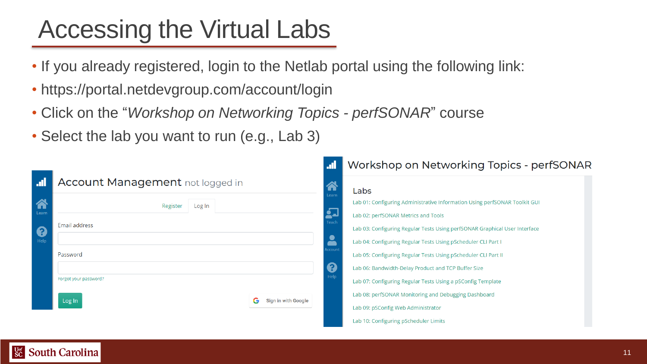# Accessing the Virtual Labs

- If you already registered, login to the Netlab portal using the following link:
- https://portal.netdevgroup.com/account/login
- Click on the "*Workshop on Networking Topics - perfSONAR*" course
- Select the lab you want to run (e.g., Lab 3)

|       |                                  | al.                           | Workshop on Networking Topics - perfSONAR                                  |
|-------|----------------------------------|-------------------------------|----------------------------------------------------------------------------|
| ÆJ    | Account Management not logged in | 谷<br>Learn                    | Labs                                                                       |
| 谷     | Register<br>Log In               |                               | Lab 01: Configuring Administrative Information Using perfSONAR Toolkit GUI |
| Learn |                                  | 27<br>Teach                   | Lab 02: perfSONAR Metrics and Tools                                        |
| 0     | Email address                    |                               | Lab 03: Configuring Regular Tests Using perfSONAR Graphical User Interface |
| Help  |                                  | $\blacktriangle$              | Lab 04: Configuring Regular Tests Using pScheduler CLI Part I              |
|       | Password                         | ccount                        | Lab 05: Configuring Regular Tests Using pScheduler CLI Part II             |
|       |                                  | $\boldsymbol{\Theta}$<br>Help | Lab 06: Bandwidth-Delay Product and TCP Buffer Size                        |
|       | Forgot your password?            |                               | Lab 07: Configuring Regular Tests Using a pSConfig Template                |
|       | G<br>Sign in with Google         |                               | Lab 08: perfSONAR Monitoring and Debugging Dashboard                       |
|       | Log In                           |                               | Lab 09: pSConfig Web Administrator                                         |
|       |                                  |                               | Lab 10: Configuring pScheduler Limits                                      |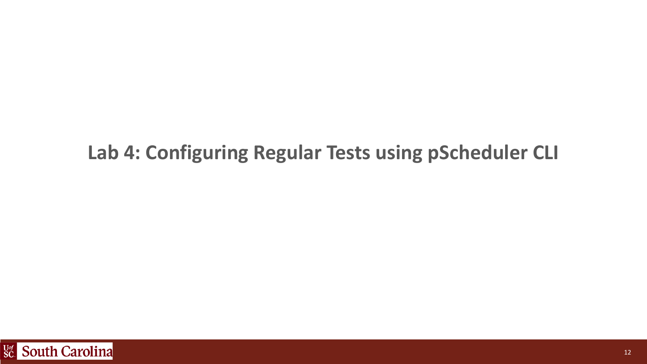#### **Lab 4: Configuring Regular Tests using pScheduler CLI**

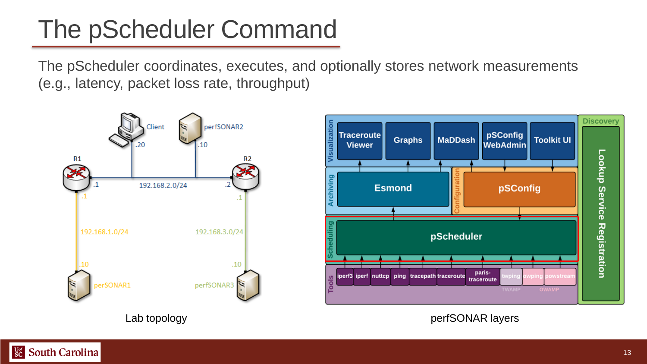## The pScheduler Command

The pScheduler coordinates, executes, and optionally stores network measurements (e.g., latency, packet loss rate, throughput)